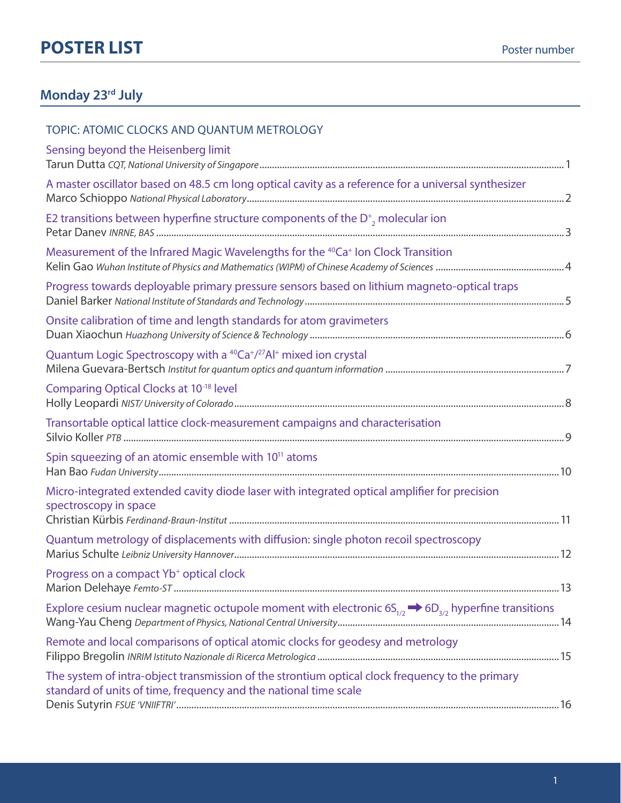### **Monday 23rd July**

#### TOPIC: ATOMIC CLOCKS AND QUANTUM METROLOGY

| Sensing beyond the Heisenberg limit                                                                                                                                 |  |
|---------------------------------------------------------------------------------------------------------------------------------------------------------------------|--|
| A master oscillator based on 48.5 cm long optical cavity as a reference for a universal synthesizer                                                                 |  |
| E2 transitions between hyperfine structure components of the $D^*$ , molecular ion                                                                                  |  |
| Measurement of the Infrared Magic Wavelengths for the <sup>40</sup> Ca <sup>+</sup> Ion Clock Transition                                                            |  |
| Progress towards deployable primary pressure sensors based on lithium magneto-optical traps                                                                         |  |
| Onsite calibration of time and length standards for atom gravimeters                                                                                                |  |
| Quantum Logic Spectroscopy with a <sup>40</sup> Ca <sup>+</sup> / <sup>27</sup> Al <sup>+</sup> mixed ion crystal                                                   |  |
| Comparing Optical Clocks at 10-18 level                                                                                                                             |  |
| Transortable optical lattice clock-measurement campaigns and characterisation                                                                                       |  |
| Spin squeezing of an atomic ensemble with 10 <sup>11</sup> atoms                                                                                                    |  |
| Micro-integrated extended cavity diode laser with integrated optical amplifier for precision<br>spectroscopy in space                                               |  |
| Quantum metrology of displacements with diffusion: single photon recoil spectroscopy                                                                                |  |
| Progress on a compact Yb <sup>+</sup> optical clock                                                                                                                 |  |
| Explore cesium nuclear magnetic octupole moment with electronic $6S_{1/2} \rightarrow 6D_{3/2}$ hyperfine transitions                                               |  |
| Remote and local comparisons of optical atomic clocks for geodesy and metrology                                                                                     |  |
| The system of intra-object transmission of the strontium optical clock frequency to the primary<br>standard of units of time, frequency and the national time scale |  |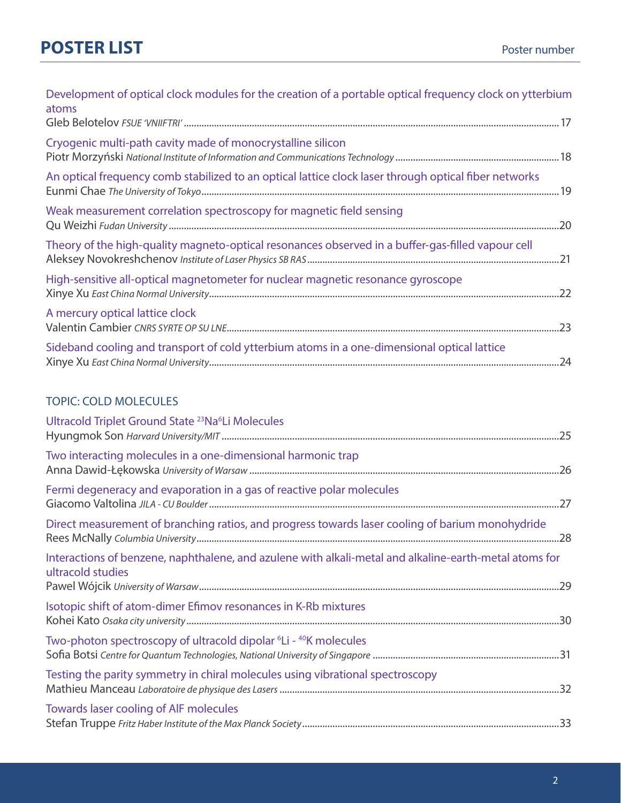| Development of optical clock modules for the creation of a portable optical frequency clock on ytterbium<br>atoms |  |
|-------------------------------------------------------------------------------------------------------------------|--|
|                                                                                                                   |  |
| Cryogenic multi-path cavity made of monocrystalline silicon                                                       |  |
| An optical frequency comb stabilized to an optical lattice clock laser through optical fiber networks             |  |
| Weak measurement correlation spectroscopy for magnetic field sensing                                              |  |
| Theory of the high-quality magneto-optical resonances observed in a buffer-gas-filled vapour cell                 |  |
| High-sensitive all-optical magnetometer for nuclear magnetic resonance gyroscope                                  |  |
| A mercury optical lattice clock                                                                                   |  |
| Sideband cooling and transport of cold ytterbium atoms in a one-dimensional optical lattice                       |  |

### TOPIC: COLD MOLECULES

| Ultracold Triplet Ground State <sup>23</sup> Na <sup>6</sup> Li Molecules                                                   |  |
|-----------------------------------------------------------------------------------------------------------------------------|--|
| Two interacting molecules in a one-dimensional harmonic trap                                                                |  |
| Fermi degeneracy and evaporation in a gas of reactive polar molecules                                                       |  |
| Direct measurement of branching ratios, and progress towards laser cooling of barium monohydride                            |  |
| Interactions of benzene, naphthalene, and azulene with alkali-metal and alkaline-earth-metal atoms for<br>ultracold studies |  |
| Isotopic shift of atom-dimer Efimov resonances in K-Rb mixtures                                                             |  |
| Two-photon spectroscopy of ultracold dipolar <sup>6</sup> Li - <sup>40</sup> K molecules                                    |  |
| Testing the parity symmetry in chiral molecules using vibrational spectroscopy                                              |  |
| Towards laser cooling of AIF molecules                                                                                      |  |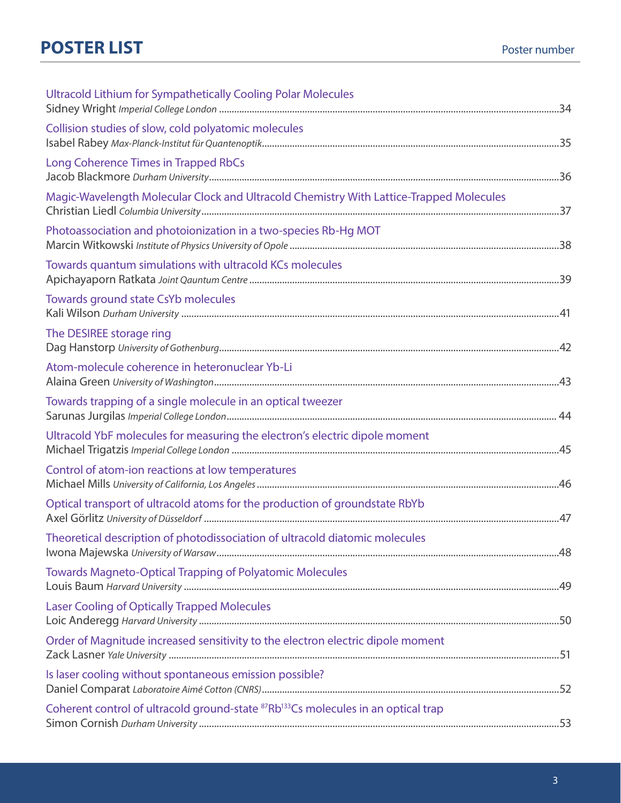| Ultracold Lithium for Sympathetically Cooling Polar Molecules                                              |  |
|------------------------------------------------------------------------------------------------------------|--|
| Collision studies of slow, cold polyatomic molecules                                                       |  |
| Long Coherence Times in Trapped RbCs                                                                       |  |
| Magic-Wavelength Molecular Clock and Ultracold Chemistry With Lattice-Trapped Molecules                    |  |
| Photoassociation and photoionization in a two-species Rb-Hg MOT                                            |  |
| Towards quantum simulations with ultracold KCs molecules                                                   |  |
| Towards ground state CsYb molecules                                                                        |  |
| The DESIREE storage ring                                                                                   |  |
| Atom-molecule coherence in heteronuclear Yb-Li                                                             |  |
| Towards trapping of a single molecule in an optical tweezer                                                |  |
| Ultracold YbF molecules for measuring the electron's electric dipole moment                                |  |
| Control of atom-ion reactions at low temperatures                                                          |  |
| Optical transport of ultracold atoms for the production of groundstate RbYb                                |  |
| Theoretical description of photodissociation of ultracold diatomic molecules                               |  |
| Towards Magneto-Optical Trapping of Polyatomic Molecules                                                   |  |
| <b>Laser Cooling of Optically Trapped Molecules</b>                                                        |  |
| Order of Magnitude increased sensitivity to the electron electric dipole moment                            |  |
| Is laser cooling without spontaneous emission possible?                                                    |  |
| Coherent control of ultracold ground-state <sup>87</sup> Rb <sup>133</sup> Cs molecules in an optical trap |  |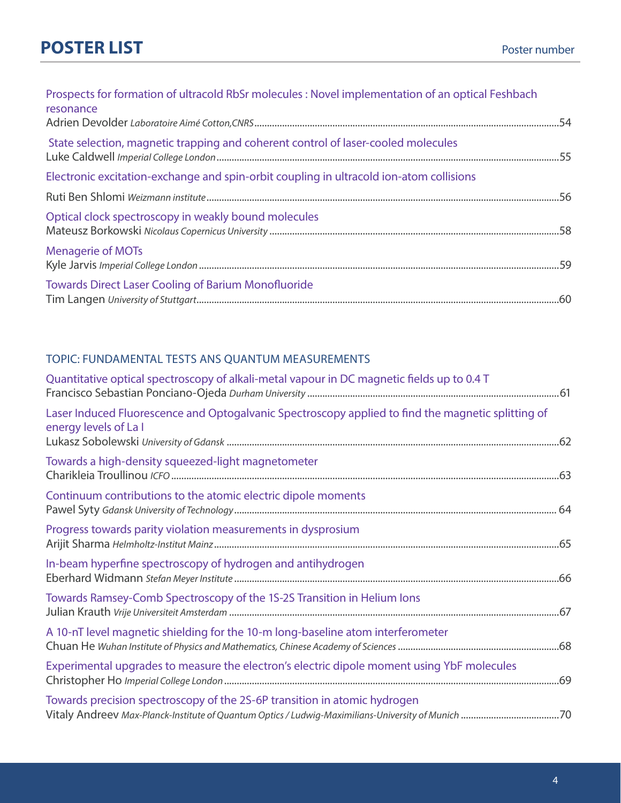# **POSTER LIST** POSTER POSTER **POSTER**

| Prospects for formation of ultracold RbSr molecules : Novel implementation of an optical Feshbach<br>resonance |  |
|----------------------------------------------------------------------------------------------------------------|--|
| State selection, magnetic trapping and coherent control of laser-cooled molecules                              |  |
| Electronic excitation-exchange and spin-orbit coupling in ultracold ion-atom collisions                        |  |
|                                                                                                                |  |
| Optical clock spectroscopy in weakly bound molecules                                                           |  |
| <b>Menagerie of MOTs</b>                                                                                       |  |
| <b>Towards Direct Laser Cooling of Barium Monofluoride</b>                                                     |  |

### TOPIC: FUNDAMENTAL TESTS ANS QUANTUM MEASUREMENTS

| Quantitative optical spectroscopy of alkali-metal vapour in DC magnetic fields up to 0.4 T                                  |
|-----------------------------------------------------------------------------------------------------------------------------|
| Laser Induced Fluorescence and Optogalvanic Spectroscopy applied to find the magnetic splitting of<br>energy levels of La I |
| Towards a high-density squeezed-light magnetometer                                                                          |
| Continuum contributions to the atomic electric dipole moments                                                               |
| Progress towards parity violation measurements in dysprosium                                                                |
| In-beam hyperfine spectroscopy of hydrogen and antihydrogen                                                                 |
| Towards Ramsey-Comb Spectroscopy of the 1S-2S Transition in Helium lons                                                     |
| A 10-nT level magnetic shielding for the 10-m long-baseline atom interferometer                                             |
| Experimental upgrades to measure the electron's electric dipole moment using YbF molecules                                  |
| Towards precision spectroscopy of the 2S-6P transition in atomic hydrogen                                                   |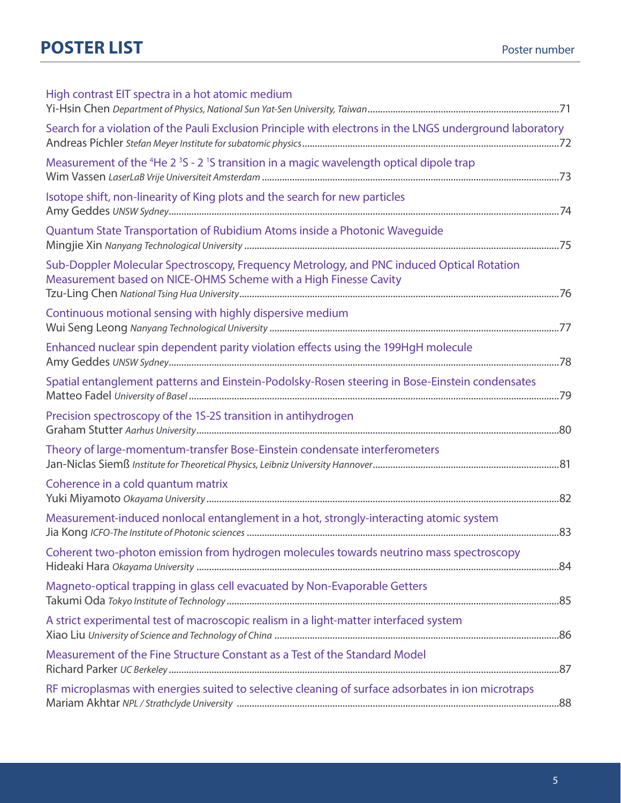| Search for a violation of the Pauli Exclusion Principle with electrons in the LNGS underground laboratory |
|-----------------------------------------------------------------------------------------------------------|
|                                                                                                           |
|                                                                                                           |
|                                                                                                           |
|                                                                                                           |
|                                                                                                           |
|                                                                                                           |
|                                                                                                           |
|                                                                                                           |
|                                                                                                           |
|                                                                                                           |
|                                                                                                           |
|                                                                                                           |
|                                                                                                           |
|                                                                                                           |
|                                                                                                           |
|                                                                                                           |
|                                                                                                           |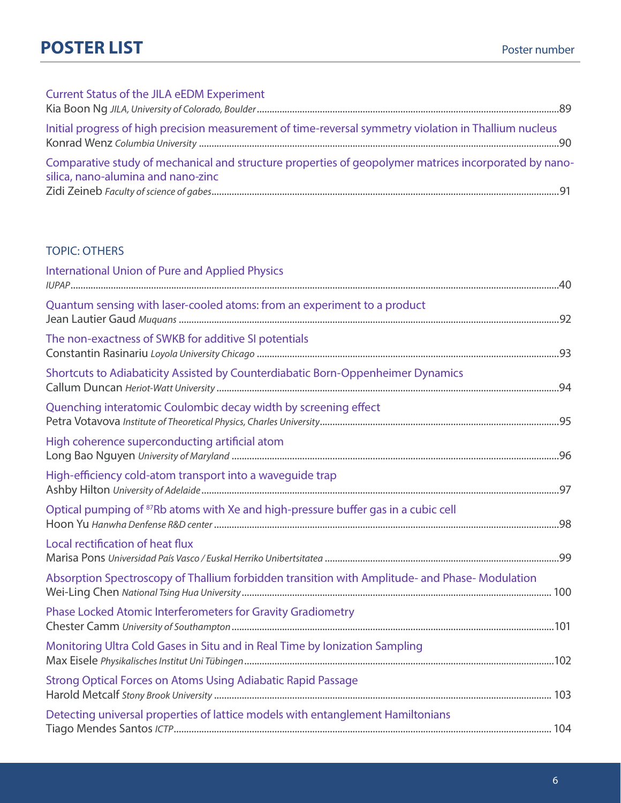| <b>Current Status of the JILA eEDM Experiment</b>                                                                                           |  |
|---------------------------------------------------------------------------------------------------------------------------------------------|--|
|                                                                                                                                             |  |
| Initial progress of high precision measurement of time-reversal symmetry violation in Thallium nucleus                                      |  |
| Comparative study of mechanical and structure properties of geopolymer matrices incorporated by nano-<br>silica, nano-alumina and nano-zinc |  |
|                                                                                                                                             |  |

### TOPIC: OTHERS

| <b>International Union of Pure and Applied Physics</b>                                         |  |
|------------------------------------------------------------------------------------------------|--|
| Quantum sensing with laser-cooled atoms: from an experiment to a product                       |  |
| The non-exactness of SWKB for additive SI potentials                                           |  |
| Shortcuts to Adiabaticity Assisted by Counterdiabatic Born-Oppenheimer Dynamics                |  |
| Quenching interatomic Coulombic decay width by screening effect                                |  |
| High coherence superconducting artificial atom                                                 |  |
| High-efficiency cold-atom transport into a waveguide trap                                      |  |
| Optical pumping of <sup>87</sup> Rb atoms with Xe and high-pressure buffer gas in a cubic cell |  |
| Local rectification of heat flux                                                               |  |
| Absorption Spectroscopy of Thallium forbidden transition with Amplitude- and Phase-Modulation  |  |
| Phase Locked Atomic Interferometers for Gravity Gradiometry                                    |  |
| Monitoring Ultra Cold Gases in Situ and in Real Time by Ionization Sampling                    |  |
| Strong Optical Forces on Atoms Using Adiabatic Rapid Passage                                   |  |
| Detecting universal properties of lattice models with entanglement Hamiltonians                |  |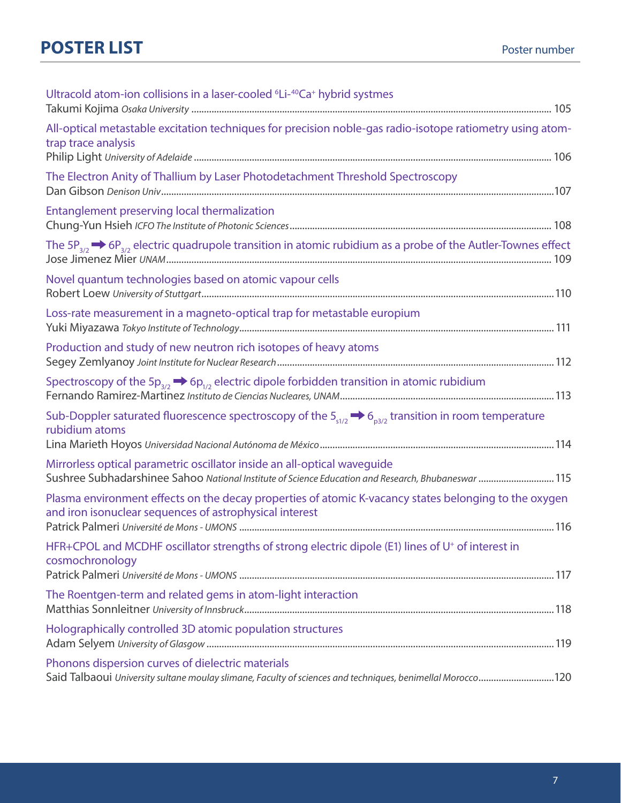| Ultracold atom-ion collisions in a laser-cooled <sup>6</sup> Li- <sup>40</sup> Ca <sup>+</sup> hybrid systmes                                                    |
|------------------------------------------------------------------------------------------------------------------------------------------------------------------|
| All-optical metastable excitation techniques for precision noble-gas radio-isotope ratiometry using atom-<br>trap trace analysis                                 |
| The Electron Anity of Thallium by Laser Photodetachment Threshold Spectroscopy                                                                                   |
| Entanglement preserving local thermalization                                                                                                                     |
|                                                                                                                                                                  |
| Novel quantum technologies based on atomic vapour cells                                                                                                          |
| Loss-rate measurement in a magneto-optical trap for metastable europium                                                                                          |
| Production and study of new neutron rich isotopes of heavy atoms                                                                                                 |
| Spectroscopy of the $5p_{3/2} \rightarrow 6p_{1/2}$ electric dipole forbidden transition in atomic rubidium                                                      |
| Sub-Doppler saturated fluorescence spectroscopy of the $5_{s1/2} \rightarrow 6_{s3/2}$ transition in room temperature<br>rubidium atoms                          |
| Mirrorless optical parametric oscillator inside an all-optical waveguide                                                                                         |
| Sushree Subhadarshinee Sahoo National Institute of Science Education and Research, Bhubaneswar  115                                                              |
| Plasma environment effects on the decay properties of atomic K-vacancy states belonging to the oxygen<br>and iron isonuclear sequences of astrophysical interest |
| HFR+CPOL and MCDHF oscillator strengths of strong electric dipole (E1) lines of U <sup>+</sup> of interest in<br>cosmochronology                                 |
| The Roentgen-term and related gems in atom-light interaction                                                                                                     |
| Holographically controlled 3D atomic population structures                                                                                                       |
| Phonons dispersion curves of dielectric materials<br>Said Talbaoui University sultane moulay slimane, Faculty of sciences and techniques, benimellal Morocco120  |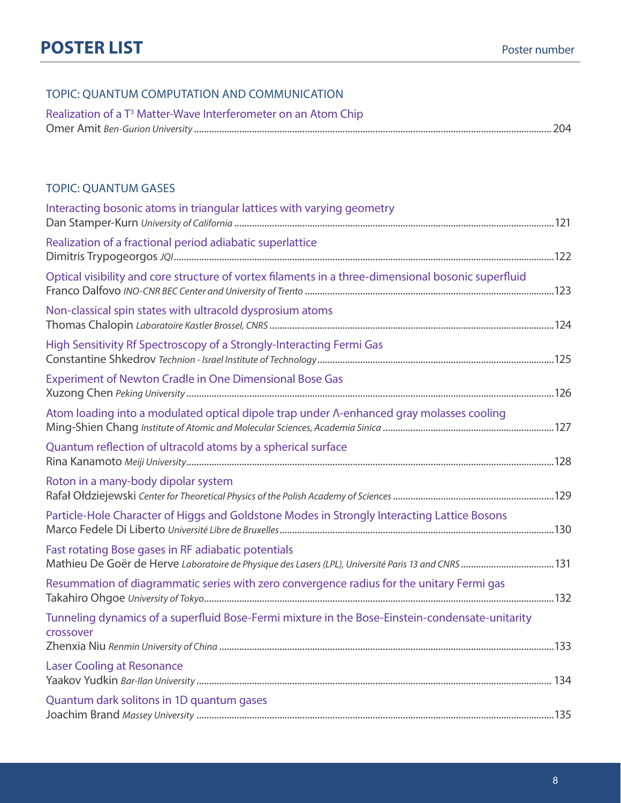### TOPIC: QUANTUM COMPUTATION AND COMMUNICATION

| Realization of a T <sup>3</sup> Matter-Wave Interferometer on an Atom Chip |  |
|----------------------------------------------------------------------------|--|
|                                                                            |  |

#### TOPIC: QUANTUM GASES

| Interacting bosonic atoms in triangular lattices with varying geometry                                       |  |
|--------------------------------------------------------------------------------------------------------------|--|
| Realization of a fractional period adiabatic superlattice                                                    |  |
| Optical visibility and core structure of vortex filaments in a three-dimensional bosonic superfluid          |  |
| Non-classical spin states with ultracold dysprosium atoms                                                    |  |
| High Sensitivity Rf Spectroscopy of a Strongly-Interacting Fermi Gas                                         |  |
| <b>Experiment of Newton Cradle in One Dimensional Bose Gas</b>                                               |  |
| Atom loading into a modulated optical dipole trap under A-enhanced gray molasses cooling                     |  |
| Quantum reflection of ultracold atoms by a spherical surface                                                 |  |
| Roton in a many-body dipolar system                                                                          |  |
| Particle-Hole Character of Higgs and Goldstone Modes in Strongly Interacting Lattice Bosons                  |  |
| Fast rotating Bose gases in RF adiabatic potentials                                                          |  |
| Resummation of diagrammatic series with zero convergence radius for the unitary Fermi gas                    |  |
| Tunneling dynamics of a superfluid Bose-Fermi mixture in the Bose-Einstein-condensate-unitarity<br>crossover |  |
| <b>Laser Cooling at Resonance</b>                                                                            |  |
| Quantum dark solitons in 1D quantum gases                                                                    |  |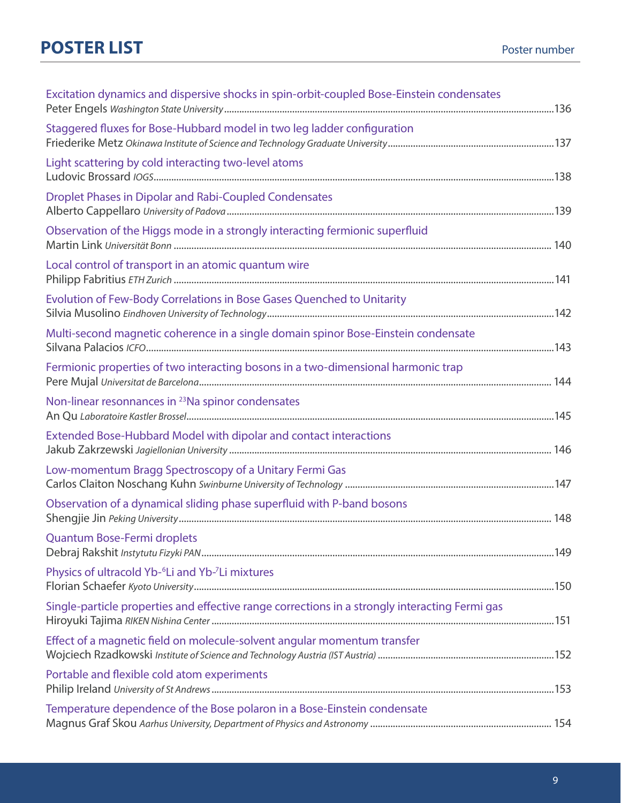| Excitation dynamics and dispersive shocks in spin-orbit-coupled Bose-Einstein condensates      |  |
|------------------------------------------------------------------------------------------------|--|
| Staggered fluxes for Bose-Hubbard model in two leg ladder configuration                        |  |
| Light scattering by cold interacting two-level atoms                                           |  |
| Droplet Phases in Dipolar and Rabi-Coupled Condensates                                         |  |
| Observation of the Higgs mode in a strongly interacting fermionic superfluid                   |  |
| Local control of transport in an atomic quantum wire                                           |  |
| Evolution of Few-Body Correlations in Bose Gases Quenched to Unitarity                         |  |
| Multi-second magnetic coherence in a single domain spinor Bose-Einstein condensate             |  |
| Fermionic properties of two interacting bosons in a two-dimensional harmonic trap              |  |
| Non-linear resonnances in <sup>23</sup> Na spinor condensates                                  |  |
| Extended Bose-Hubbard Model with dipolar and contact interactions                              |  |
| Low-momentum Bragg Spectroscopy of a Unitary Fermi Gas                                         |  |
| Observation of a dynamical sliding phase superfluid with P-band bosons                         |  |
| <b>Quantum Bose-Fermi droplets</b>                                                             |  |
| Physics of ultracold Yb- <sup>6</sup> Li and Yb- <sup>7</sup> Li mixtures                      |  |
| Single-particle properties and effective range corrections in a strongly interacting Fermi gas |  |
| Effect of a magnetic field on molecule-solvent angular momentum transfer                       |  |
| Portable and flexible cold atom experiments                                                    |  |
| Temperature dependence of the Bose polaron in a Bose-Einstein condensate                       |  |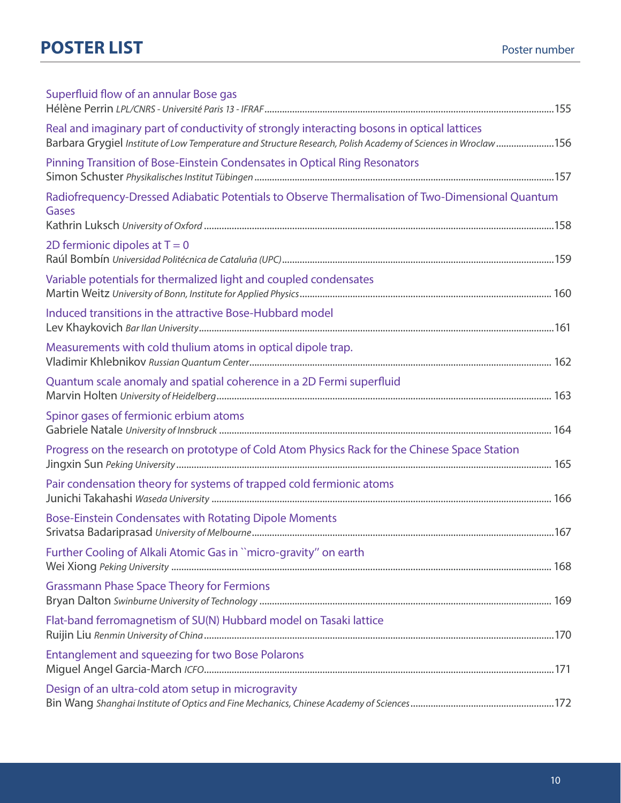| Superfluid flow of an annular Bose gas                                                                                                                                                                      |  |
|-------------------------------------------------------------------------------------------------------------------------------------------------------------------------------------------------------------|--|
| Real and imaginary part of conductivity of strongly interacting bosons in optical lattices<br>Barbara Grygiel Institute of Low Temperature and Structure Research, Polish Academy of Sciences in Wroclaw156 |  |
| Pinning Transition of Bose-Einstein Condensates in Optical Ring Resonators                                                                                                                                  |  |
| Radiofrequency-Dressed Adiabatic Potentials to Observe Thermalisation of Two-Dimensional Quantum<br>Gases                                                                                                   |  |
| 2D fermionic dipoles at $T = 0$                                                                                                                                                                             |  |
| Variable potentials for thermalized light and coupled condensates                                                                                                                                           |  |
| Induced transitions in the attractive Bose-Hubbard model                                                                                                                                                    |  |
| Measurements with cold thulium atoms in optical dipole trap.                                                                                                                                                |  |
| Quantum scale anomaly and spatial coherence in a 2D Fermi superfluid                                                                                                                                        |  |
| Spinor gases of fermionic erbium atoms                                                                                                                                                                      |  |
| Progress on the research on prototype of Cold Atom Physics Rack for the Chinese Space Station                                                                                                               |  |
| Pair condensation theory for systems of trapped cold fermionic atoms                                                                                                                                        |  |
| <b>Bose-Einstein Condensates with Rotating Dipole Moments</b>                                                                                                                                               |  |
| Further Cooling of Alkali Atomic Gas in "micro-gravity" on earth                                                                                                                                            |  |
| <b>Grassmann Phase Space Theory for Fermions</b>                                                                                                                                                            |  |
| Flat-band ferromagnetism of SU(N) Hubbard model on Tasaki lattice                                                                                                                                           |  |
| <b>Entanglement and squeezing for two Bose Polarons</b>                                                                                                                                                     |  |
| Design of an ultra-cold atom setup in microgravity                                                                                                                                                          |  |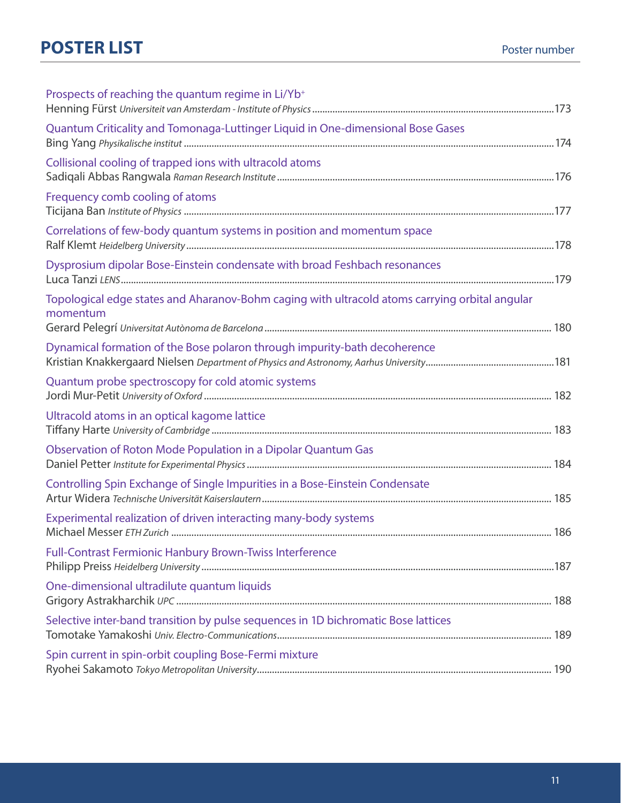| Prospects of reaching the quantum regime in Li/Yb <sup>+</sup>                                             |  |
|------------------------------------------------------------------------------------------------------------|--|
| Quantum Criticality and Tomonaga-Luttinger Liquid in One-dimensional Bose Gases                            |  |
| Collisional cooling of trapped ions with ultracold atoms                                                   |  |
| Frequency comb cooling of atoms                                                                            |  |
| Correlations of few-body quantum systems in position and momentum space                                    |  |
| Dysprosium dipolar Bose-Einstein condensate with broad Feshbach resonances                                 |  |
| Topological edge states and Aharanov-Bohm caging with ultracold atoms carrying orbital angular<br>momentum |  |
| Dynamical formation of the Bose polaron through impurity-bath decoherence                                  |  |
| Quantum probe spectroscopy for cold atomic systems                                                         |  |
| Ultracold atoms in an optical kagome lattice                                                               |  |
| Observation of Roton Mode Population in a Dipolar Quantum Gas                                              |  |
| Controlling Spin Exchange of Single Impurities in a Bose-Einstein Condensate                               |  |
| Experimental realization of driven interacting many-body systems                                           |  |
| <b>Full-Contrast Fermionic Hanbury Brown-Twiss Interference</b>                                            |  |
| One-dimensional ultradilute quantum liquids                                                                |  |
| Selective inter-band transition by pulse sequences in 1D bichromatic Bose lattices                         |  |
| Spin current in spin-orbit coupling Bose-Fermi mixture                                                     |  |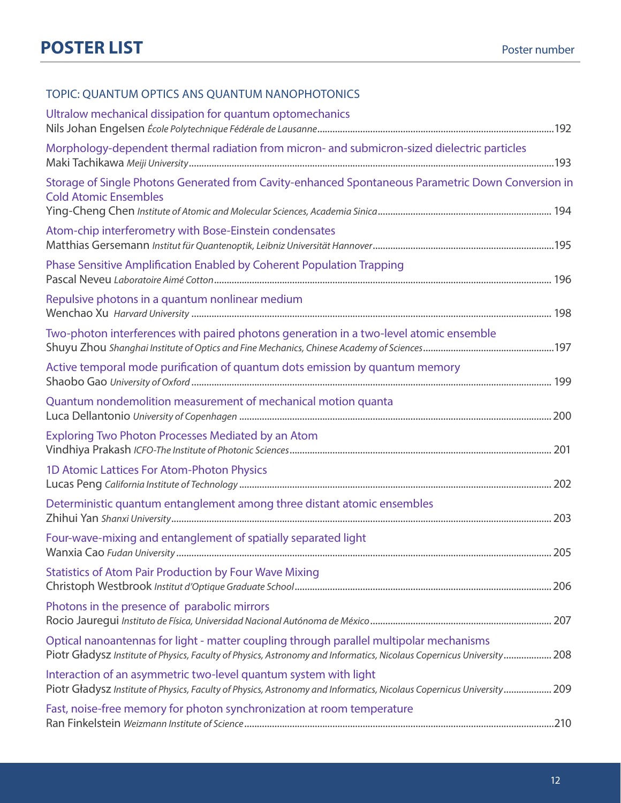### TOPIC: QUANTUM OPTICS ANS QUANTUM NANOPHOTONICS

| Ultralow mechanical dissipation for quantum optomechanics                                                                                                                                                        |  |
|------------------------------------------------------------------------------------------------------------------------------------------------------------------------------------------------------------------|--|
| Morphology-dependent thermal radiation from micron- and submicron-sized dielectric particles                                                                                                                     |  |
| Storage of Single Photons Generated from Cavity-enhanced Spontaneous Parametric Down Conversion in<br><b>Cold Atomic Ensembles</b>                                                                               |  |
| Atom-chip interferometry with Bose-Einstein condensates                                                                                                                                                          |  |
| Phase Sensitive Amplification Enabled by Coherent Population Trapping                                                                                                                                            |  |
| Repulsive photons in a quantum nonlinear medium                                                                                                                                                                  |  |
| Two-photon interferences with paired photons generation in a two-level atomic ensemble                                                                                                                           |  |
| Active temporal mode purification of quantum dots emission by quantum memory                                                                                                                                     |  |
| Quantum nondemolition measurement of mechanical motion quanta                                                                                                                                                    |  |
| <b>Exploring Two Photon Processes Mediated by an Atom</b>                                                                                                                                                        |  |
| 1D Atomic Lattices For Atom-Photon Physics                                                                                                                                                                       |  |
| Deterministic quantum entanglement among three distant atomic ensembles                                                                                                                                          |  |
| Four-wave-mixing and entanglement of spatially separated light                                                                                                                                                   |  |
| <b>Statistics of Atom Pair Production by Four Wave Mixing</b>                                                                                                                                                    |  |
| Photons in the presence of parabolic mirrors                                                                                                                                                                     |  |
| Optical nanoantennas for light - matter coupling through parallel multipolar mechanisms<br>Piotr Gładysz Institute of Physics, Faculty of Physics, Astronomy and Informatics, Nicolaus Copernicus University 208 |  |
| Interaction of an asymmetric two-level quantum system with light<br>Piotr Gładysz Institute of Physics, Faculty of Physics, Astronomy and Informatics, Nicolaus Copernicus University 209                        |  |
| Fast, noise-free memory for photon synchronization at room temperature                                                                                                                                           |  |